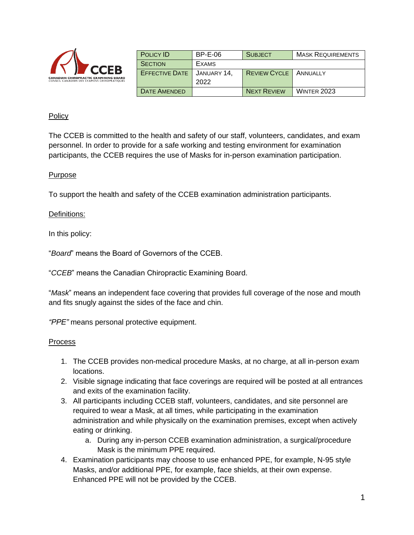| <b>CCEB</b><br><b>CANADIAN CHIROPRACTIC EXAMINING BOARD</b><br>CONSEIL CANADIEN DES EXAMENS CHIROPRATIQUES | <b>POLICY ID</b>      | $BP-E-06$   | <b>SUBJECT</b>      | <b>MASK REQUIREMENTS</b> |
|------------------------------------------------------------------------------------------------------------|-----------------------|-------------|---------------------|--------------------------|
|                                                                                                            | <b>SECTION</b>        | EXAMS       |                     |                          |
|                                                                                                            | <b>EFFECTIVE DATE</b> | JANUARY 14. | <b>REVIEW CYCLE</b> | ANNUALLY                 |
|                                                                                                            |                       | 2022        |                     |                          |
|                                                                                                            | DATE AMENDED          |             | <b>NEXT REVIEW</b>  | <b>WINTER 2023</b>       |

## Policy

The CCEB is committed to the health and safety of our staff, volunteers, candidates, and exam personnel. In order to provide for a safe working and testing environment for examination participants, the CCEB requires the use of Masks for in-person examination participation.

### Purpose

To support the health and safety of the CCEB examination administration participants.

### Definitions:

In this policy:

"*Board*" means the Board of Governors of the CCEB.

"*CCEB*" means the Canadian Chiropractic Examining Board.

"*Mask*" means an independent face covering that provides full coverage of the nose and mouth and fits snugly against the sides of the face and chin.

*"PPE"* means personal protective equipment.

#### Process

- 1. The CCEB provides non-medical procedure Masks, at no charge, at all in-person exam locations.
- 2. Visible signage indicating that face coverings are required will be posted at all entrances and exits of the examination facility.
- 3. All participants including CCEB staff, volunteers, candidates, and site personnel are required to wear a Mask, at all times, while participating in the examination administration and while physically on the examination premises, except when actively eating or drinking.
	- a. During any in-person CCEB examination administration, a surgical/procedure Mask is the minimum PPE required.
- 4. Examination participants may choose to use enhanced PPE, for example, N-95 style Masks, and/or additional PPE, for example, face shields, at their own expense. Enhanced PPE will not be provided by the CCEB.